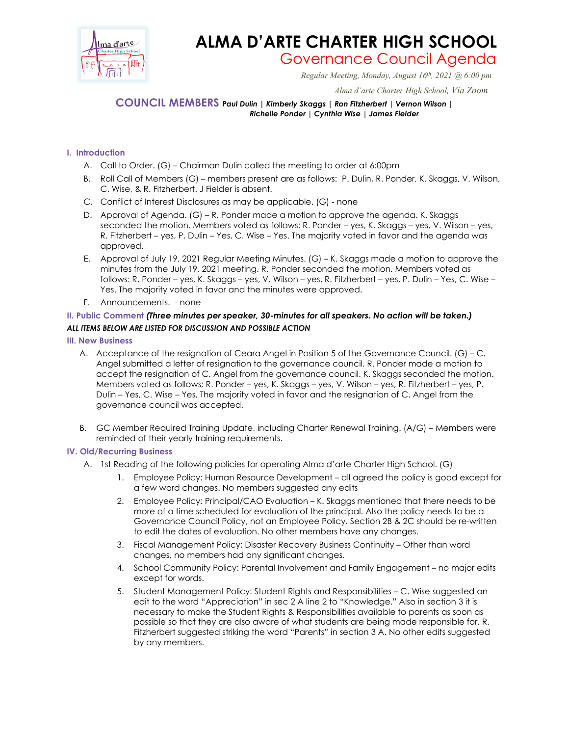

# **ALMA D'ARTE CHARTER HIGH SCHOOL**

Governance Council Agenda *Regular Meeting, Monday, August 16th, 2021 @ 6:00 pm*

 *Alma d'arte Charter High School, Via Zoom*

**COUNCIL MEMBERS** *Paul Dulin | Kimberly Skaggs | Ron Fitzherbert | Vernon Wilson | Richelle Ponder | Cynthia Wise | James Fielder*

## **I. Introduction**

- A. Call to Order. (G) Chairman Dulin called the meeting to order at 6:00pm
- B. Roll Call of Members (G) members present are as follows: P. Dulin, R. Ponder, K. Skaggs, V. Wilson, C. Wise, & R. Fitzherbert. J Fielder is absent.
- C. Conflict of Interest Disclosures as may be applicable. (G) none
- D. Approval of Agenda. (G) R. Ponder made a motion to approve the agenda. K. Skaggs seconded the motion. Members voted as follows: R. Ponder – yes, K. Skaggs – yes, V. Wilson – yes, R. Fitzherbert – yes, P. Dulin – Yes, C. Wise – Yes. The majority voted in favor and the agenda was approved.
- E. Approval of July 19, 2021 Regular Meeting Minutes. (G) K. Skaggs made a motion to approve the minutes from the July 19, 2021 meeting. R. Ponder seconded the motion. Members voted as follows: R. Ponder – yes, K. Skaggs – yes, V. Wilson – yes, R. Fitzherbert – yes, P. Dulin – Yes, C. Wise – Yes. The majority voted in favor and the minutes were approved.
- F. Announcements. none

## **II. Public Comment** *(Three minutes per speaker, 30-minutes for all speakers. No action will be taken.) ALL ITEMS BELOW ARE LISTED FOR DISCUSSION AND POSSIBLE ACTION*

### **III. New Business**

- A. Acceptance of the resignation of Ceara Angel in Position 5 of the Governance Council. (G) C. Angel submitted a letter of resignation to the governance council. R. Ponder made a motion to accept the resignation of C. Angel from the governance council. K. Skaggs seconded the motion. Members voted as follows: R. Ponder – yes, K. Skaggs – yes, V. Wilson – yes, R. Fitzherbert – yes, P. Dulin – Yes, C. Wise – Yes. The majority voted in favor and the resignation of C. Angel from the governance council was accepted.
- B. GC Member Required Training Update, including Charter Renewal Training. (A/G) Members were reminded of their yearly training requirements.

### **IV. Old/Recurring Business**

- A. 1st Reading of the following policies for operating Alma d'arte Charter High School. (G)
	- 1. Employee Policy: Human Resource Development all agreed the policy is good except for a few word changes. No members suggested any edits
	- 2. Employee Policy: Principal/CAO Evaluation K. Skaggs mentioned that there needs to be more of a time scheduled for evaluation of the principal. Also the policy needs to be a Governance Council Policy, not an Employee Policy. Section 2B & 2C should be re-written to edit the dates of evaluation. No other members have any changes.
	- 3. Fiscal Management Policy: Disaster Recovery Business Continuity Other than word changes, no members had any significant changes.
	- 4. School Community Policy: Parental Involvement and Family Engagement no major edits except for words.
	- 5. Student Management Policy: Student Rights and Responsibilities C. Wise suggested an edit to the word "Appreciation" in sec 2 A line 2 to "Knowledge." Also in section 3 it is necessary to make the Student Rights & Responsibilities available to parents as soon as possible so that they are also aware of what students are being made responsible for. R. Fitzherbert suggested striking the word "Parents" in section 3 A. No other edits suggested by any members.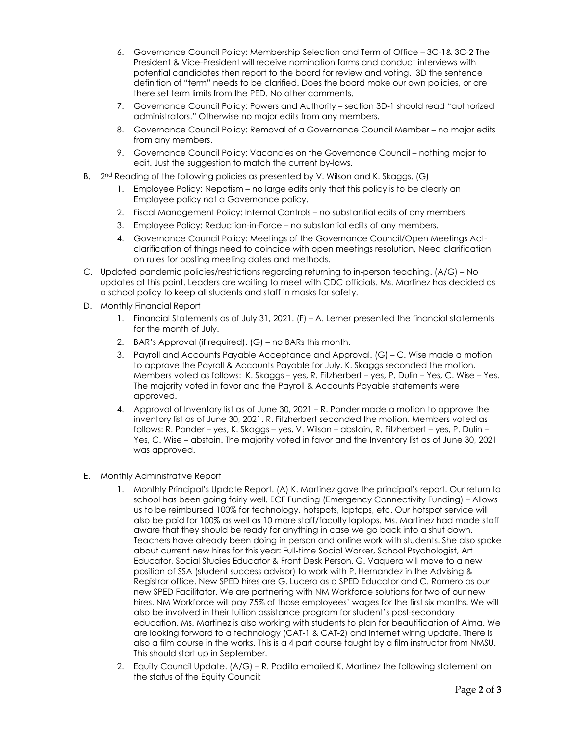- 6. Governance Council Policy: Membership Selection and Term of Office 3C-1& 3C-2 The President & Vice-President will receive nomination forms and conduct interviews with potential candidates then report to the board for review and voting. 3D the sentence definition of "term" needs to be clarified. Does the board make our own policies, or are there set term limits from the PED. No other comments.
- 7. Governance Council Policy: Powers and Authority section 3D-1 should read "authorized administrators." Otherwise no major edits from any members.
- 8. Governance Council Policy: Removal of a Governance Council Member no major edits from any members.
- 9. Governance Council Policy: Vacancies on the Governance Council nothing major to edit. Just the suggestion to match the current by-laws.
- B. 2<sup>nd</sup> Reading of the following policies as presented by V. Wilson and K. Skaggs. (G)
	- 1. Employee Policy: Nepotism no large edits only that this policy is to be clearly an Employee policy not a Governance policy.
	- 2. Fiscal Management Policy: Internal Controls no substantial edits of any members.
	- 3. Employee Policy: Reduction-in-Force no substantial edits of any members.
	- 4. Governance Council Policy: Meetings of the Governance Council/Open Meetings Actclarification of things need to coincide with open meetings resolution, Need clarification on rules for posting meeting dates and methods.
- C. Updated pandemic policies/restrictions regarding returning to in-person teaching. (A/G) No updates at this point. Leaders are waiting to meet with CDC officials. Ms. Martinez has decided as a school policy to keep all students and staff in masks for safety.
- D. Monthly Financial Report
	- 1. Financial Statements as of July 31, 2021. (F) A. Lerner presented the financial statements for the month of July.
	- 2. BAR's Approval (if required). (G) no BARs this month.
	- 3. Payroll and Accounts Payable Acceptance and Approval. (G) C. Wise made a motion to approve the Payroll & Accounts Payable for July. K. Skaggs seconded the motion. Members voted as follows: K. Skaggs – yes, R. Fitzherbert – yes, P. Dulin – Yes, C. Wise – Yes. The majority voted in favor and the Payroll & Accounts Payable statements were approved.
	- 4. Approval of Inventory list as of June 30, 2021 R. Ponder made a motion to approve the inventory list as of June 30, 2021. R. Fitzherbert seconded the motion. Members voted as follows: R. Ponder – yes, K. Skaggs – yes, V. Wilson – abstain, R. Fitzherbert – yes, P. Dulin – Yes, C. Wise – abstain. The majority voted in favor and the Inventory list as of June 30, 2021 was approved.
- E. Monthly Administrative Report
	- 1. Monthly Principal's Update Report. (A) K. Martinez gave the principal's report. Our return to school has been going fairly well. ECF Funding (Emergency Connectivity Funding) – Allows us to be reimbursed 100% for technology, hotspots, laptops, etc. Our hotspot service will also be paid for 100% as well as 10 more staff/faculty laptops. Ms. Martinez had made staff aware that they should be ready for anything in case we go back into a shut down. Teachers have already been doing in person and online work with students. She also spoke about current new hires for this year: Full-time Social Worker, School Psychologist, Art Educator, Social Studies Educator & Front Desk Person. G. Vaquera will move to a new position of SSA (student success advisor) to work with P. Hernandez in the Advising & Registrar office. New SPED hires are G. Lucero as a SPED Educator and C. Romero as our new SPED Facilitator. We are partnering with NM Workforce solutions for two of our new hires. NM Workforce will pay 75% of those employees' wages for the first six months. We will also be involved in their tuition assistance program for student's post-secondary education. Ms. Martinez is also working with students to plan for beautification of Alma. We are looking forward to a technology (CAT-1 & CAT-2) and internet wiring update. There is also a film course in the works. This is a 4 part course taught by a film instructor from NMSU. This should start up in September.
	- 2. Equity Council Update. (A/G) R. Padilla emailed K. Martinez the following statement on the status of the Equity Council: